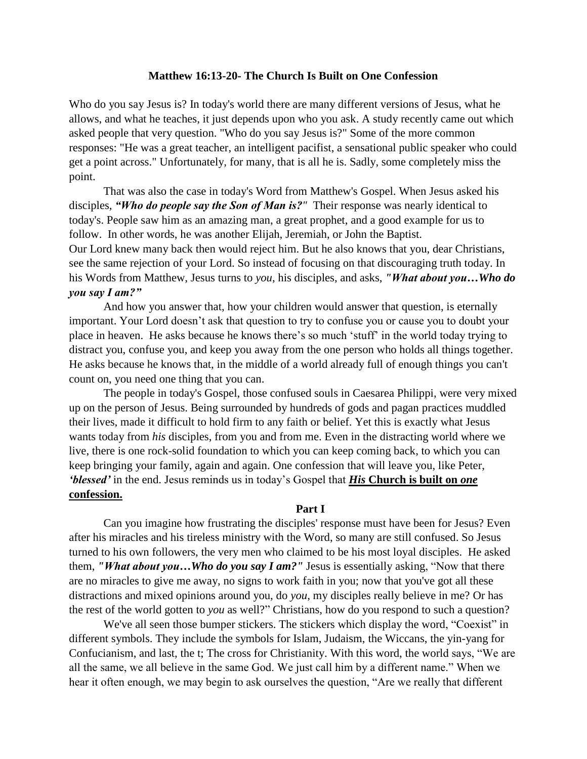## **Matthew 16:13-20- The Church Is Built on One Confession**

Who do you say Jesus is? In today's world there are many different versions of Jesus, what he allows, and what he teaches, it just depends upon who you ask. A study recently came out which asked people that very question. "Who do you say Jesus is?" Some of the more common responses: "He was a great teacher, an intelligent pacifist, a sensational public speaker who could get a point across." Unfortunately, for many, that is all he is. Sadly, some completely miss the point.

That was also the case in today's Word from Matthew's Gospel. When Jesus asked his disciples, *"Who do people say the Son of Man is?"* Their response was nearly identical to today's. People saw him as an amazing man, a great prophet, and a good example for us to follow. In other words, he was another Elijah, Jeremiah, or John the Baptist. Our Lord knew many back then would reject him. But he also knows that you, dear Christians, see the same rejection of your Lord. So instead of focusing on that discouraging truth today. In his Words from Matthew, Jesus turns to *you*, his disciples, and asks, *"What about you…Who do you say I am?"*

And how you answer that, how your children would answer that question, is eternally important. Your Lord doesn't ask that question to try to confuse you or cause you to doubt your place in heaven. He asks because he knows there's so much 'stuff' in the world today trying to distract you, confuse you, and keep you away from the one person who holds all things together. He asks because he knows that, in the middle of a world already full of enough things you can't count on, you need one thing that you can.

The people in today's Gospel, those confused souls in Caesarea Philippi, were very mixed up on the person of Jesus. Being surrounded by hundreds of gods and pagan practices muddled their lives, made it difficult to hold firm to any faith or belief. Yet this is exactly what Jesus wants today from *his* disciples, from you and from me. Even in the distracting world where we live, there is one rock-solid foundation to which you can keep coming back, to which you can keep bringing your family, again and again. One confession that will leave you, like Peter, *'blessed'* in the end. Jesus reminds us in today's Gospel that *His* **Church is built on** *one* **confession.**

## **Part I**

Can you imagine how frustrating the disciples' response must have been for Jesus? Even after his miracles and his tireless ministry with the Word, so many are still confused. So Jesus turned to his own followers, the very men who claimed to be his most loyal disciples. He asked them, *"What about you…Who do you say I am?"* Jesus is essentially asking, "Now that there are no miracles to give me away, no signs to work faith in you; now that you've got all these distractions and mixed opinions around you, do *you*, my disciples really believe in me? Or has the rest of the world gotten to *you* as well?" Christians, how do you respond to such a question?

We've all seen those bumper stickers. The stickers which display the word, "Coexist" in different symbols. They include the symbols for Islam, Judaism, the Wiccans, the yin-yang for Confucianism, and last, the t; The cross for Christianity. With this word, the world says, "We are all the same, we all believe in the same God. We just call him by a different name." When we hear it often enough, we may begin to ask ourselves the question, "Are we really that different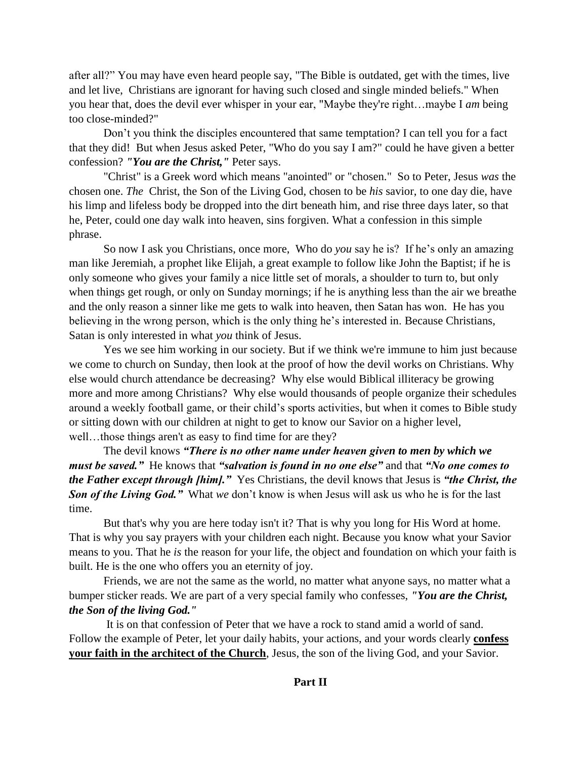after all?" You may have even heard people say, "The Bible is outdated, get with the times, live and let live, Christians are ignorant for having such closed and single minded beliefs." When you hear that, does the devil ever whisper in your ear, "Maybe they're right…maybe I *am* being too close-minded?"

Don't you think the disciples encountered that same temptation? I can tell you for a fact that they did! But when Jesus asked Peter, "Who do you say I am?" could he have given a better confession? *"You are the Christ,"* Peter says.

"Christ" is a Greek word which means "anointed" or "chosen." So to Peter, Jesus *was* the chosen one. *The* Christ, the Son of the Living God, chosen to be *his* savior, to one day die, have his limp and lifeless body be dropped into the dirt beneath him, and rise three days later, so that he, Peter, could one day walk into heaven, sins forgiven. What a confession in this simple phrase.

So now I ask you Christians, once more, Who do *you* say he is? If he's only an amazing man like Jeremiah, a prophet like Elijah, a great example to follow like John the Baptist; if he is only someone who gives your family a nice little set of morals, a shoulder to turn to, but only when things get rough, or only on Sunday mornings; if he is anything less than the air we breathe and the only reason a sinner like me gets to walk into heaven, then Satan has won. He has you believing in the wrong person, which is the only thing he's interested in. Because Christians, Satan is only interested in what *you* think of Jesus.

Yes we see him working in our society. But if we think we're immune to him just because we come to church on Sunday, then look at the proof of how the devil works on Christians. Why else would church attendance be decreasing? Why else would Biblical illiteracy be growing more and more among Christians? Why else would thousands of people organize their schedules around a weekly football game, or their child's sports activities, but when it comes to Bible study or sitting down with our children at night to get to know our Savior on a higher level, well…those things aren't as easy to find time for are they?

The devil knows *"There is no other name under heaven given to men by which we must be saved."* He knows that *"salvation is found in no one else"* and that *"No one comes to the Father except through [him]."* Yes Christians, the devil knows that Jesus is *"the Christ, the Son of the Living God."* What *we* don't know is when Jesus will ask us who he is for the last time.

But that's why you are here today isn't it? That is why you long for His Word at home. That is why you say prayers with your children each night. Because you know what your Savior means to you. That he *is* the reason for your life, the object and foundation on which your faith is built. He is the one who offers you an eternity of joy.

Friends, we are not the same as the world, no matter what anyone says, no matter what a bumper sticker reads. We are part of a very special family who confesses, *"You are the Christ, the Son of the living God."*

It is on that confession of Peter that we have a rock to stand amid a world of sand. Follow the example of Peter, let your daily habits, your actions, and your words clearly **confess your faith in the architect of the Church**, Jesus, the son of the living God, and your Savior.